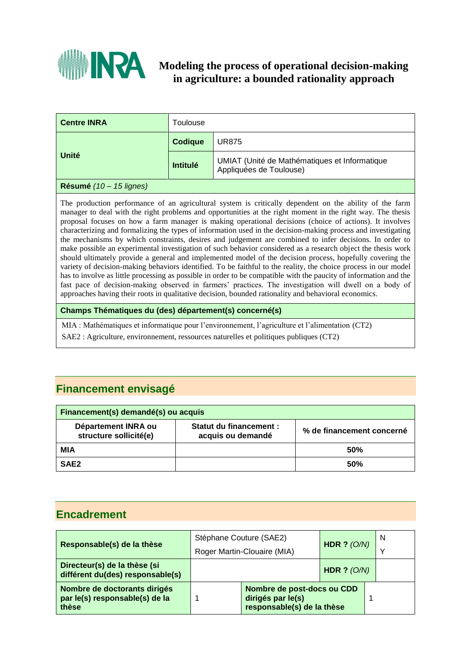

# **Modeling the process of operational decision-making in agriculture: a bounded rationality approach**

| <b>Centre INRA</b> | <b>Foulouse</b> |                                                                          |  |
|--------------------|-----------------|--------------------------------------------------------------------------|--|
| Unité              | <b>Codique</b>  | <b>UR875</b>                                                             |  |
|                    | <b>Intitulé</b> | UMIAT (Unité de Mathématiques et Informatique<br>Appliquées de Toulouse) |  |

## **Résumé** *(10 – 15 lignes)*

The production performance of an agricultural system is critically dependent on the ability of the farm manager to deal with the right problems and opportunities at the right moment in the right way. The thesis proposal focuses on how a farm manager is making operational decisions (choice of actions). It involves characterizing and formalizing the types of information used in the decision-making process and investigating the mechanisms by which constraints, desires and judgement are combined to infer decisions. In order to make possible an experimental investigation of such behavior considered as a research object the thesis work should ultimately provide a general and implemented model of the decision process, hopefully covering the variety of decision-making behaviors identified. To be faithful to the reality, the choice process in our model has to involve as little processing as possible in order to be compatible with the paucity of information and the fast pace of decision-making observed in farmers' practices. The investigation will dwell on a body of approaches having their roots in qualitative decision, bounded rationality and behavioral economics.

## **Champs Thématiques du (des) département(s) concerné(s)**

MIA : Mathématiques et informatique pour l'environnement, l'agriculture et l'alimentation (CT2)

SAE2 : Agriculture, environnement, ressources naturelles et politiques publiques (CT2)

# **Financement envisagé**

| Financement(s) demandé(s) ou acquis           |                                                    |                           |  |  |  |
|-----------------------------------------------|----------------------------------------------------|---------------------------|--|--|--|
| Département INRA ou<br>structure sollicité(e) | <b>Statut du financement:</b><br>acquis ou demandé | % de financement concerné |  |  |  |
| MIA                                           |                                                    | 50%                       |  |  |  |
| SAE <sub>2</sub>                              |                                                    | 50%                       |  |  |  |

# **Encadrement**

| Responsable(s) de la thèse                                              | Stéphane Couture (SAE2) | Roger Martin-Clouaire (MIA)                                                   | HDR $? (O/N)$ | N<br>$\checkmark$ |
|-------------------------------------------------------------------------|-------------------------|-------------------------------------------------------------------------------|---------------|-------------------|
| Directeur(s) de la thèse (si<br>différent du(des) responsable(s)        |                         |                                                                               | HDR $? (O/N)$ |                   |
| Nombre de doctorants dirigés<br>par le(s) responsable(s) de la<br>thèse |                         | Nombre de post-docs ou CDD<br>dirigés par le(s)<br>responsable(s) de la thèse |               |                   |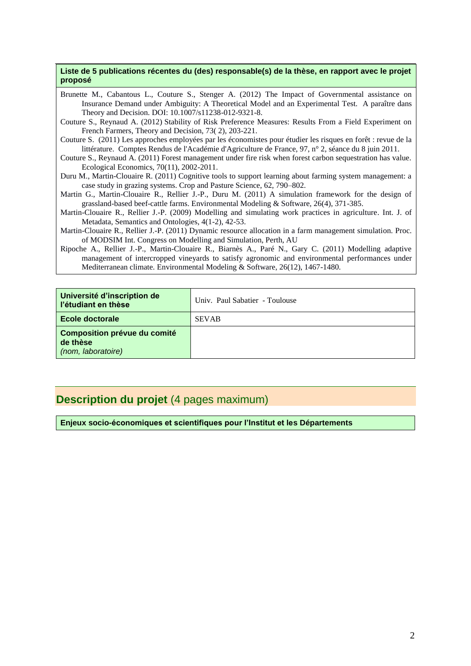### **Liste de 5 publications récentes du (des) responsable(s) de la thèse, en rapport avec le projet proposé**

- Brunette M., Cabantous L., Couture S., Stenger A. (2012) The Impact of Governmental assistance on Insurance Demand under Ambiguity: A Theoretical Model and an Experimental Test. A paraître dans Theory and Decision. DOI: 10.1007/s11238-012-9321-8.
- Couture S., Reynaud A. (2012) Stability of Risk Preference Measures: Results From a Field Experiment on French Farmers, Theory and Decision, 73( 2), 203-221.
- Couture S. (2011) Les approches employées par les économistes pour étudier les risques en forêt : revue de la littérature. Comptes Rendus de l'Académie d'Agriculture de France, 97, n° 2, séance du 8 juin 2011.
- Couture S., Reynaud A. (2011) Forest management under fire risk when forest carbon sequestration has value. Ecological Economics, 70(11), 2002-2011.
- Duru M., Martin-Clouaire R. (2011) Cognitive tools to support learning about farming system management: a case study in grazing systems. Crop and Pasture Science, 62, 790–802.
- Martin G., Martin-Clouaire R., Rellier J.-P., Duru M. (2011) A simulation framework for the design of grassland-based beef-cattle farms. Environmental Modeling & Software, 26(4), 371-385.
- Martin-Clouaire R., Rellier J.-P. (2009) Modelling and simulating work practices in agriculture. Int. J. of Metadata, Semantics and Ontologies, 4(1-2), 42-53.
- Martin-Clouaire R., Rellier J.-P. (2011) Dynamic resource allocation in a farm management simulation. Proc. of MODSIM Int. Congress on Modelling and Simulation, Perth, AU
- Ripoche A., Rellier J.-P., Martin-Clouaire R., Biarnès A., Paré N., Gary C. (2011) Modelling adaptive management of intercropped vineyards to satisfy agronomic and environmental performances under Mediterranean climate. Environmental Modeling & Software, 26(12), 1467-1480.

| Université d'inscription de<br>l'étudiant en thèse             | Univ. Paul Sabatier - Toulouse |
|----------------------------------------------------------------|--------------------------------|
| Ecole doctorale                                                | <b>SEVAB</b>                   |
| Composition prévue du comité<br>de thèse<br>(nom, laboratoire) |                                |

# **Description du projet** (4 pages maximum)

**Enjeux socio-économiques et scientifiques pour l'Institut et les Départements**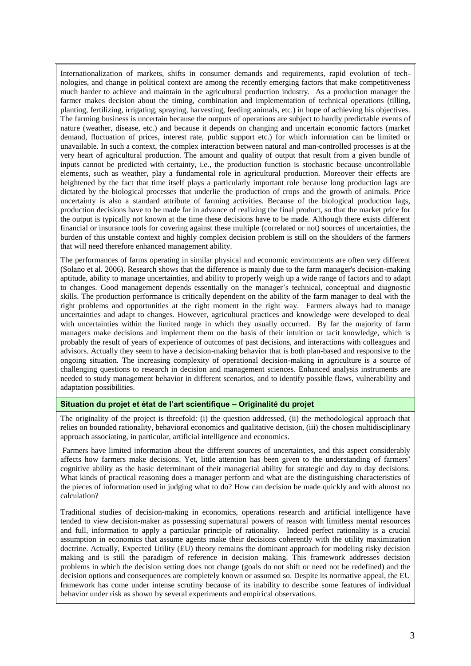Internationalization of markets, shifts in consumer demands and requirements, rapid evolution of technologies, and change in political context are among the recently emerging factors that make competitiveness much harder to achieve and maintain in the agricultural production industry. As a production manager the farmer makes decision about the timing, combination and implementation of technical operations (tilling, planting, fertilizing, irrigating, spraying, harvesting, feeding animals, etc.) in hope of achieving his objectives. The farming business is uncertain because the outputs of operations are subject to hardly predictable events of nature (weather, disease, etc.) and because it depends on changing and uncertain economic factors (market demand, fluctuation of prices, interest rate, public support etc.) for which information can be limited or unavailable. In such a context, the complex interaction between natural and man-controlled processes is at the very heart of agricultural production. The amount and quality of output that result from a given bundle of inputs cannot be predicted with certainty, i.e., the production function is stochastic because uncontrollable elements, such as weather, play a fundamental role in agricultural production. Moreover their effects are heightened by the fact that time itself plays a particularly important role because long production lags are dictated by the biological processes that underlie the production of crops and the growth of animals. Price uncertainty is also a standard attribute of farming activities. Because of the biological production lags, production decisions have to be made far in advance of realizing the final product, so that the market price for the output is typically not known at the time these decisions have to be made. Although there exists different financial or insurance tools for covering against these multiple (correlated or not) sources of uncertainties, the burden of this unstable context and highly complex decision problem is still on the shoulders of the farmers that will need therefore enhanced management ability.

The performances of farms operating in similar physical and economic environments are often very different (Solano et al. 2006). Research shows that the difference is mainly due to the farm manager's decision-making aptitude, ability to manage uncertainties, and ability to properly weigh up a wide range of factors and to adapt to changes. Good management depends essentially on the manager's technical, conceptual and diagnostic skills. The production performance is critically dependent on the ability of the farm manager to deal with the right problems and opportunities at the right moment in the right way. Farmers always had to manage uncertainties and adapt to changes. However, agricultural practices and knowledge were developed to deal with uncertainties within the limited range in which they usually occurred. By far the majority of farm managers make decisions and implement them on the basis of their intuition or tacit knowledge, which is probably the result of years of experience of outcomes of past decisions, and interactions with colleagues and advisors. Actually they seem to have a decision-making behavior that is both plan-based and responsive to the ongoing situation. The increasing complexity of operational decision-making in agriculture is a source of challenging questions to research in decision and management sciences. Enhanced analysis instruments are needed to study management behavior in different scenarios, and to identify possible flaws, vulnerability and adaptation possibilities.

### **Situation du projet et état de l'art scientifique – Originalité du projet**

The originality of the project is threefold: (i) the question addressed, (ii) the methodological approach that relies on bounded rationality, behavioral economics and qualitative decision, (iii) the chosen multidisciplinary approach associating, in particular, artificial intelligence and economics.

Farmers have limited information about the different sources of uncertainties, and this aspect considerably affects how farmers make decisions. Yet, little attention has been given to the understanding of farmers' cognitive ability as the basic determinant of their managerial ability for strategic and day to day decisions. What kinds of practical reasoning does a manager perform and what are the distinguishing characteristics of the pieces of information used in judging what to do? How can decision be made quickly and with almost no calculation?

Traditional studies of decision-making in economics, operations research and artificial intelligence have tended to view decision-maker as possessing supernatural powers of reason with limitless mental resources and full, information to apply a particular principle of rationality. Indeed perfect rationality is a crucial assumption in economics that assume agents make their decisions coherently with the utility maximization doctrine. Actually, Expected Utility (EU) theory remains the dominant approach for modeling risky decision making and is still the paradigm of reference in decision making. This framework addresses decision problems in which the decision setting does not change (goals do not shift or need not be redefined) and the decision options and consequences are completely known or assumed so. Despite its normative appeal, the EU framework has come under intense scrutiny because of its inability to describe some features of individual behavior under risk as shown by several experiments and empirical observations.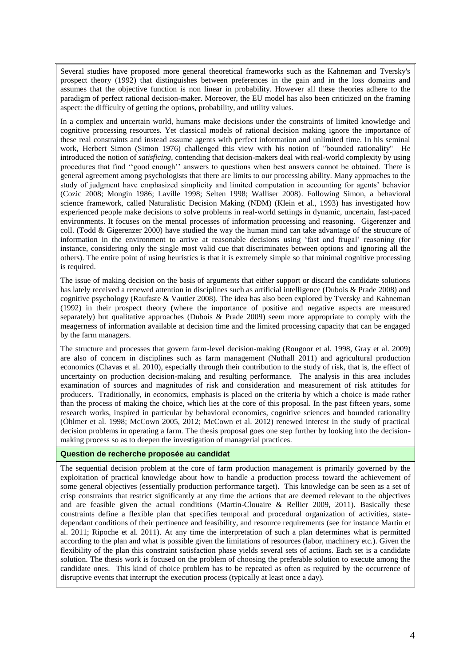Several studies have proposed more general theoretical frameworks such as the Kahneman and Tversky's prospect theory (1992) that distinguishes between preferences in the gain and in the loss domains and assumes that the objective function is non linear in probability. However all these theories adhere to the paradigm of perfect rational decision-maker. Moreover, the EU model has also been criticized on the framing aspect: the difficulty of getting the options, probability, and utility values.

In a complex and uncertain world, humans make decisions under the constraints of limited knowledge and cognitive processing resources. Yet classical models of rational decision making ignore the importance of these real constraints and instead assume agents with perfect information and unlimited time. In his seminal work, Herbert Simon (Simon 1976) challenged this view with his notion of "bounded rationality" He introduced the notion of *satisficing,* contending that decision-makers deal with real-world complexity by using procedures that find ''good enough'' answers to questions when best answers cannot be obtained. There is general agreement among psychologists that there are limits to our processing ability. Many approaches to the study of judgment have emphasized simplicity and limited computation in accounting for agents' behavior (Cozic 2008; Mongin 1986; Laville 1998; Selten 1998; Walliser 2008). Following Simon, a behavioral science framework, called Naturalistic Decision Making (NDM) (Klein et al., 1993) has investigated how experienced people make decisions to solve problems in real-world settings in dynamic, uncertain, fast-paced environments. It focuses on the mental processes of information processing and reasoning. Gigerenzer and coll. (Todd & Gigerenzer 2000) have studied the way the human mind can take advantage of the structure of information in the environment to arrive at reasonable decisions using 'fast and frugal' reasoning (for instance, considering only the single most valid cue that discriminates between options and ignoring all the others). The entire point of using heuristics is that it is extremely simple so that minimal cognitive processing is required.

The issue of making decision on the basis of arguments that either support or discard the candidate solutions has lately received a renewed attention in disciplines such as artificial intelligence (Dubois & Prade 2008) and cognitive psychology (Raufaste & Vautier 2008). The idea has also been explored by Tversky and Kahneman (1992) in their prospect theory (where the importance of positive and negative aspects are measured separately) but qualitative approaches (Dubois & Prade 2009) seem more appropriate to comply with the meagerness of information available at decision time and the limited processing capacity that can be engaged by the farm managers.

The structure and processes that govern farm-level decision-making (Rougoor et al. 1998, Gray et al. 2009) are also of concern in disciplines such as farm management (Nuthall 2011) and agricultural production economics (Chavas et al. 2010), especially through their contribution to the study of risk, that is, the effect of uncertainty on production decision-making and resulting performance. The analysis in this area includes examination of sources and magnitudes of risk and consideration and measurement of risk attitudes for producers. Traditionally, in economics, emphasis is placed on the criteria by which a choice is made rather than the process of making the choice, which lies at the core of this proposal. In the past fifteen years, some research works, inspired in particular by behavioral economics, cognitive sciences and bounded rationality (Öhlmer et al. 1998; McCown 2005, 2012; McCown et al. 2012) renewed interest in the study of practical decision problems in operating a farm. The thesis proposal goes one step further by looking into the decisionmaking process so as to deepen the investigation of managerial practices.

## **Question de recherche proposée au candidat**

The sequential decision problem at the core of farm production management is primarily governed by the exploitation of practical knowledge about how to handle a production process toward the achievement of some general objectives (essentially production performance target). This knowledge can be seen as a set of crisp constraints that restrict significantly at any time the actions that are deemed relevant to the objectives and are feasible given the actual conditions (Martin-Clouaire & Rellier 2009, 2011). Basically these constraints define a flexible plan that specifies temporal and procedural organization of activities, statedependant conditions of their pertinence and feasibility, and resource requirements (see for instance Martin et al. 2011; Ripoche et al. 2011). At any time the interpretation of such a plan determines what is permitted according to the plan and what is possible given the limitations of resources (labor, machinery etc.). Given the flexibility of the plan this constraint satisfaction phase yields several sets of actions. Each set is a candidate solution. The thesis work is focused on the problem of choosing the preferable solution to execute among the candidate ones. This kind of choice problem has to be repeated as often as required by the occurrence of disruptive events that interrupt the execution process (typically at least once a day).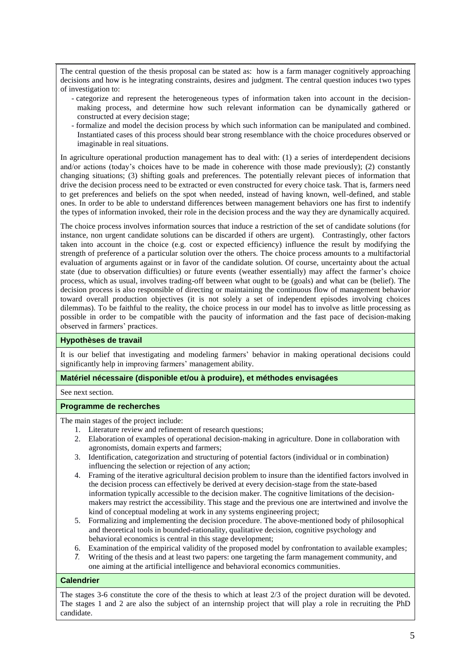The central question of the thesis proposal can be stated as: how is a farm manager cognitively approaching decisions and how is he integrating constraints, desires and judgment. The central question induces two types of investigation to:

- categorize and represent the heterogeneous types of information taken into account in the decisionmaking process, and determine how such relevant information can be dynamically gathered or constructed at every decision stage;
- formalize and model the decision process by which such information can be manipulated and combined. Instantiated cases of this process should bear strong resemblance with the choice procedures observed or imaginable in real situations.

In agriculture operational production management has to deal with: (1) a series of interdependent decisions and/or actions (today's choices have to be made in coherence with those made previously); (2) constantly changing situations; (3) shifting goals and preferences. The potentially relevant pieces of information that drive the decision process need to be extracted or even constructed for every choice task. That is, farmers need to get preferences and beliefs on the spot when needed, instead of having known, well-defined, and stable ones. In order to be able to understand differences between management behaviors one has first to indentify the types of information invoked, their role in the decision process and the way they are dynamically acquired.

The choice process involves information sources that induce a restriction of the set of candidate solutions (for instance, non urgent candidate solutions can be discarded if others are urgent). Contrastingly, other factors taken into account in the choice (e.g. cost or expected efficiency) influence the result by modifying the strength of preference of a particular solution over the others. The choice process amounts to a multifactorial evaluation of arguments against or in favor of the candidate solution. Of course, uncertainty about the actual state (due to observation difficulties) or future events (weather essentially) may affect the farmer's choice process, which as usual, involves trading-off between what ought to be (goals) and what can be (belief). The decision process is also responsible of directing or maintaining the continuous flow of management behavior toward overall production objectives (it is not solely a set of independent episodes involving choices dilemmas). To be faithful to the reality, the choice process in our model has to involve as little processing as possible in order to be compatible with the paucity of information and the fast pace of decision-making observed in farmers' practices.

### **Hypothèses de travail**

It is our belief that investigating and modeling farmers' behavior in making operational decisions could significantly help in improving farmers' management ability.

### **Matériel nécessaire (disponible et/ou à produire), et méthodes envisagées**

See next section.

### **Programme de recherches**

The main stages of the project include:

- 1. Literature review and refinement of research questions;
- 2. Elaboration of examples of operational decision-making in agriculture. Done in collaboration with agronomists, domain experts and farmers;
- 3. Identification, categorization and structuring of potential factors (individual or in combination) influencing the selection or rejection of any action;
- 4. Framing of the iterative agricultural decision problem to insure than the identified factors involved in the decision process can effectively be derived at every decision-stage from the state-based information typically accessible to the decision maker. The cognitive limitations of the decisionmakers may restrict the accessibility. This stage and the previous one are intertwined and involve the kind of conceptual modeling at work in any systems engineering project;
- 5. Formalizing and implementing the decision procedure. The above-mentioned body of philosophical and theoretical tools in bounded-rationality, qualitative decision, cognitive psychology and behavioral economics is central in this stage development;
- 6. Examination of the empirical validity of the proposed model by confrontation to available examples;
- *7.* Writing of the thesis and at least two papers: one targeting the farm management community, and one aiming at the artificial intelligence and behavioral economics communities.

### **Calendrier**

The stages 3-6 constitute the core of the thesis to which at least 2/3 of the project duration will be devoted. The stages 1 and 2 are also the subject of an internship project that will play a role in recruiting the PhD candidate.